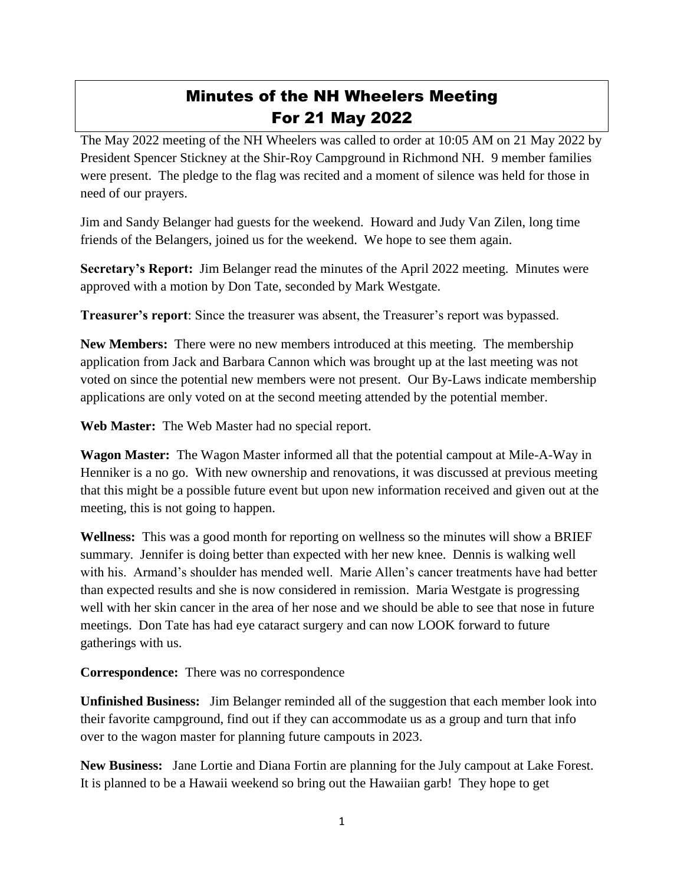## Minutes of the NH Wheelers Meeting For 21 May 2022

The May 2022 meeting of the NH Wheelers was called to order at 10:05 AM on 21 May 2022 by President Spencer Stickney at the Shir-Roy Campground in Richmond NH. 9 member families were present. The pledge to the flag was recited and a moment of silence was held for those in need of our prayers.

Jim and Sandy Belanger had guests for the weekend. Howard and Judy Van Zilen, long time friends of the Belangers, joined us for the weekend. We hope to see them again.

**Secretary's Report:** Jim Belanger read the minutes of the April 2022 meeting. Minutes were approved with a motion by Don Tate, seconded by Mark Westgate.

**Treasurer's report**: Since the treasurer was absent, the Treasurer's report was bypassed.

**New Members:** There were no new members introduced at this meeting. The membership application from Jack and Barbara Cannon which was brought up at the last meeting was not voted on since the potential new members were not present. Our By-Laws indicate membership applications are only voted on at the second meeting attended by the potential member.

**Web Master:** The Web Master had no special report.

**Wagon Master:** The Wagon Master informed all that the potential campout at Mile-A-Way in Henniker is a no go. With new ownership and renovations, it was discussed at previous meeting that this might be a possible future event but upon new information received and given out at the meeting, this is not going to happen.

**Wellness:** This was a good month for reporting on wellness so the minutes will show a BRIEF summary. Jennifer is doing better than expected with her new knee. Dennis is walking well with his. Armand's shoulder has mended well. Marie Allen's cancer treatments have had better than expected results and she is now considered in remission. Maria Westgate is progressing well with her skin cancer in the area of her nose and we should be able to see that nose in future meetings. Don Tate has had eye cataract surgery and can now LOOK forward to future gatherings with us.

**Correspondence:** There was no correspondence

**Unfinished Business:** Jim Belanger reminded all of the suggestion that each member look into their favorite campground, find out if they can accommodate us as a group and turn that info over to the wagon master for planning future campouts in 2023.

**New Business:** Jane Lortie and Diana Fortin are planning for the July campout at Lake Forest. It is planned to be a Hawaii weekend so bring out the Hawaiian garb! They hope to get